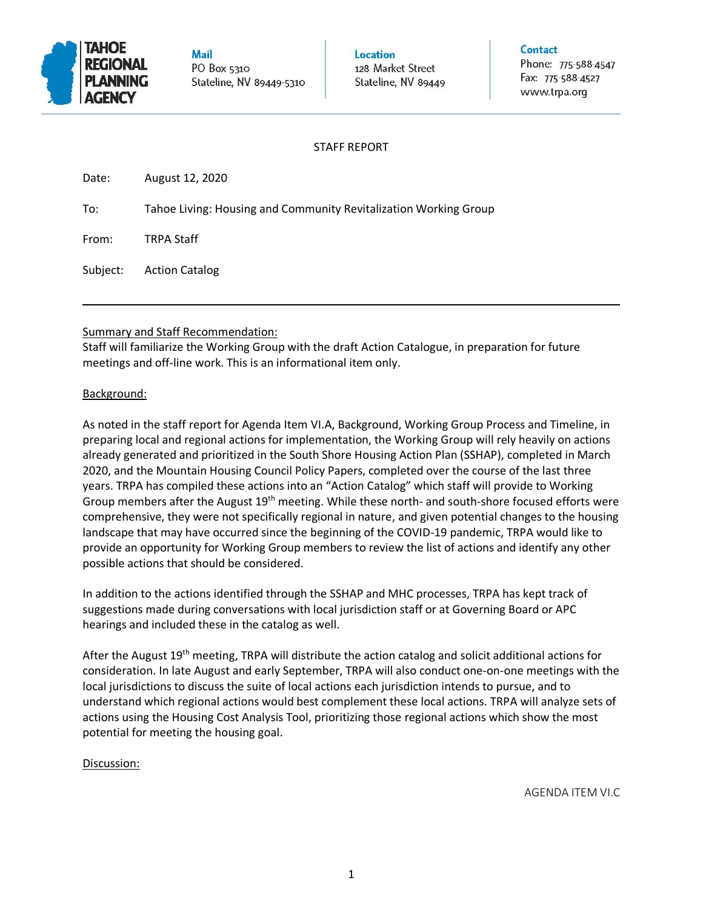

Mail PO Box 5310 Stateline, NV 89449-5310 Location 128 Market Street Stateline, NV 89449 Contact

Phone: 775-588-4547 Fax: 775-588-4527 www.trpa.org

## STAFF REPORT

| Date:    | August 12, 2020                                                  |
|----------|------------------------------------------------------------------|
| To:      | Tahoe Living: Housing and Community Revitalization Working Group |
| From:    | <b>TRPA Staff</b>                                                |
| Subject: | <b>Action Catalog</b>                                            |

### Summary and Staff Recommendation:

Staff will familiarize the Working Group with the draft Action Catalogue, in preparation for future meetings and off-line work. This is an informational item only.

### Background:

As noted in the staff report for Agenda Item VI.A, Background, Working Group Process and Timeline, in preparing local and regional actions for implementation, the Working Group will rely heavily on actions already generated and prioritized in the South Shore Housing Action Plan (SSHAP), completed in March 2020, and the Mountain Housing Council Policy Papers, completed over the course of the last three years. TRPA has compiled these actions into an "Action Catalog" which staff will provide to Working Group members after the August  $19<sup>th</sup>$  meeting. While these north- and south-shore focused efforts were comprehensive, they were not specifically regional in nature, and given potential changes to the housing landscape that may have occurred since the beginning of the COVID-19 pandemic, TRPA would like to provide an opportunity for Working Group members to review the list of actions and identify any other possible actions that should be considered.

In addition to the actions identified through the SSHAP and MHC processes, TRPA has kept track of suggestions made during conversations with local jurisdiction staff or at Governing Board or APC hearings and included these in the catalog as well.

After the August  $19<sup>th</sup>$  meeting, TRPA will distribute the action catalog and solicit additional actions for consideration. In late August and early September, TRPA will also conduct one-on-one meetings with the local jurisdictions to discuss the suite of local actions each jurisdiction intends to pursue, and to understand which regional actions would best complement these local actions. TRPA will analyze sets of actions using the Housing Cost Analysis Tool, prioritizing those regional actions which show the most potential for meeting the housing goal.

# Discussion:

AGENDA ITEM VI.C